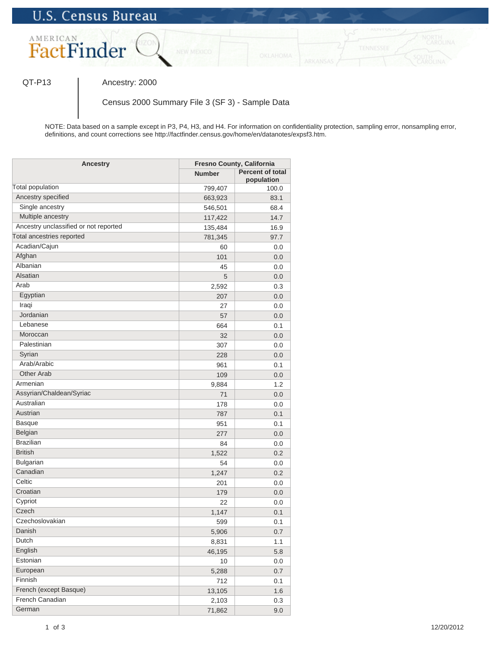

QT-P13 | Ancestry: 2000

Census 2000 Summary File 3 (SF 3) - Sample Data

NOTE: Data based on a sample except in P3, P4, H3, and H4. For information on confidentiality protection, sampling error, nonsampling error, definitions, and count corrections see http://factfinder.census.gov/home/en/datanotes/expsf3.htm.

| Ancestry                              | Fresno County, California |                                       |
|---------------------------------------|---------------------------|---------------------------------------|
|                                       | <b>Number</b>             | <b>Percent of total</b><br>population |
| Total population                      | 799,407                   | 100.0                                 |
| Ancestry specified                    | 663,923                   | 83.1                                  |
| Single ancestry                       | 546,501                   | 68.4                                  |
| Multiple ancestry                     | 117,422                   | 14.7                                  |
| Ancestry unclassified or not reported | 135,484                   | 16.9                                  |
| Total ancestries reported             | 781,345                   | 97.7                                  |
| Acadian/Cajun                         | 60                        | 0.0                                   |
| Afghan                                | 101                       | 0.0                                   |
| Albanian                              | 45                        | 0.0                                   |
| Alsatian                              | 5                         | 0.0                                   |
| Arab                                  | 2,592                     | 0.3                                   |
| Egyptian                              | 207                       | 0.0                                   |
| Iraqi                                 | 27                        | 0.0                                   |
| Jordanian                             | 57                        | 0.0                                   |
| Lebanese                              | 664                       | 0.1                                   |
| Moroccan                              | 32                        | 0.0                                   |
| Palestinian                           | 307                       | 0.0                                   |
| Syrian                                | 228                       | 0.0                                   |
| Arab/Arabic                           | 961                       | 0.1                                   |
| <b>Other Arab</b>                     | 109                       | 0.0                                   |
| Armenian                              | 9,884                     | 1.2                                   |
| Assyrian/Chaldean/Syriac              | 71                        | 0.0                                   |
| Australian                            | 178                       | 0.0                                   |
| Austrian                              | 787                       | 0.1                                   |
| <b>Basque</b>                         | 951                       | 0.1                                   |
| Belgian                               | 277                       | 0.0                                   |
| <b>Brazilian</b>                      | 84                        | 0.0                                   |
| <b>British</b>                        | 1,522                     | 0.2                                   |
| <b>Bulgarian</b>                      | 54                        | 0.0                                   |
| Canadian                              | 1,247                     | 0.2                                   |
| Celtic                                | 201                       | 0.0                                   |
| Croatian                              | 179                       | 0.0                                   |
| Cypriot                               | 22                        | 0.0                                   |
| Czech                                 | 1,147                     | 0.1                                   |
| Czechoslovakian                       | 599                       | 0.1                                   |
| Danish                                | 5,906                     | 0.7                                   |
| Dutch                                 | 8,831                     | 1.1                                   |
| English                               | 46,195                    | 5.8                                   |
| Estonian                              | 10                        | 0.0                                   |
| European                              | 5,288                     | 0.7                                   |
| Finnish                               | 712                       | 0.1                                   |
| French (except Basque)                | 13,105                    | 1.6                                   |
| French Canadian                       | 2,103                     | 0.3                                   |
| German                                | 71,862                    | 9.0                                   |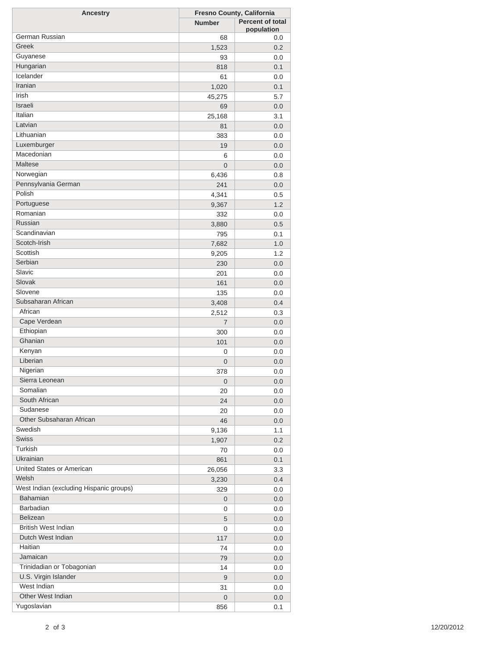| <b>Ancestry</b>                         | Fresno County, California |                         |
|-----------------------------------------|---------------------------|-------------------------|
|                                         | <b>Number</b>             | <b>Percent of total</b> |
|                                         |                           | population              |
| German Russian                          | 68                        | 0.0                     |
| Greek                                   | 1,523                     | 0.2                     |
| Guyanese                                | 93                        | 0.0                     |
| Hungarian                               | 818                       | 0.1                     |
| Icelander                               | 61                        | 0.0                     |
| Iranian                                 | 1,020                     | 0.1                     |
| Irish                                   | 45,275                    | 5.7                     |
| Israeli                                 | 69                        | 0.0                     |
| Italian                                 | 25,168                    | 3.1                     |
| Latvian                                 | 81                        | 0.0                     |
| Lithuanian                              | 383                       | 0.0                     |
| Luxemburger                             | 19                        | 0.0                     |
| Macedonian                              | 6                         | 0.0                     |
| Maltese                                 | $\overline{0}$            | 0.0                     |
| Norwegian                               | 6,436                     | 0.8                     |
| Pennsylvania German                     | 241                       |                         |
| Polish                                  |                           | 0.0                     |
|                                         | 4,341                     | 0.5                     |
| Portuguese                              | 9,367                     | 1.2                     |
| Romanian                                | 332                       | 0.0                     |
| Russian                                 | 3,880                     | 0.5                     |
| Scandinavian                            | 795                       | 0.1                     |
| Scotch-Irish                            | 7,682                     | 1.0                     |
| Scottish                                | 9,205                     | 1.2                     |
| Serbian                                 | 230                       | 0.0                     |
| Slavic                                  | 201                       | 0.0                     |
| Slovak                                  | 161                       | 0.0                     |
| Slovene                                 | 135                       | 0.0                     |
| Subsaharan African                      | 3,408                     | 0.4                     |
| African                                 | 2,512                     | 0.3                     |
| Cape Verdean                            | $\overline{7}$            | 0.0                     |
| Ethiopian                               | 300                       | 0.0                     |
| Ghanian                                 | 101                       | 0.0                     |
| Kenyan                                  | 0                         | 0.0                     |
| Liberian                                | $\mathbf 0$               | 0.0                     |
| Nigerian                                | 378                       | 0.0                     |
| Sierra Leonean                          | $\mathbf 0$               | 0.0                     |
| Somalian                                | 20                        | 0.0                     |
| South African                           | 24                        |                         |
| Sudanese                                |                           | 0.0                     |
| Other Subsaharan African                | 20                        | 0.0                     |
| Swedish                                 | 46                        | 0.0                     |
|                                         | 9,136                     | 1.1                     |
| <b>Swiss</b>                            | 1,907                     | 0.2                     |
| Turkish                                 | 70                        | 0.0                     |
| Ukrainian                               | 861                       | 0.1                     |
| United States or American               | 26,056                    | 3.3                     |
| Welsh                                   | 3,230                     | 0.4                     |
| West Indian (excluding Hispanic groups) | 329                       | 0.0                     |
| <b>Bahamian</b>                         | 0                         | 0.0                     |
| Barbadian                               | 0                         | 0.0                     |
| Belizean                                | 5                         | 0.0                     |
| <b>British West Indian</b>              | 0                         | 0.0                     |
| Dutch West Indian                       | 117                       | 0.0                     |
| Haitian                                 | 74                        | 0.0                     |
| Jamaican                                | 79                        | 0.0                     |
| Trinidadian or Tobagonian               | 14                        | 0.0                     |
| U.S. Virgin Islander                    | 9                         | 0.0                     |
| West Indian                             | 31                        | 0.0                     |
| Other West Indian                       | 0                         | 0.0                     |
| Yugoslavian                             | 856                       | 0.1                     |